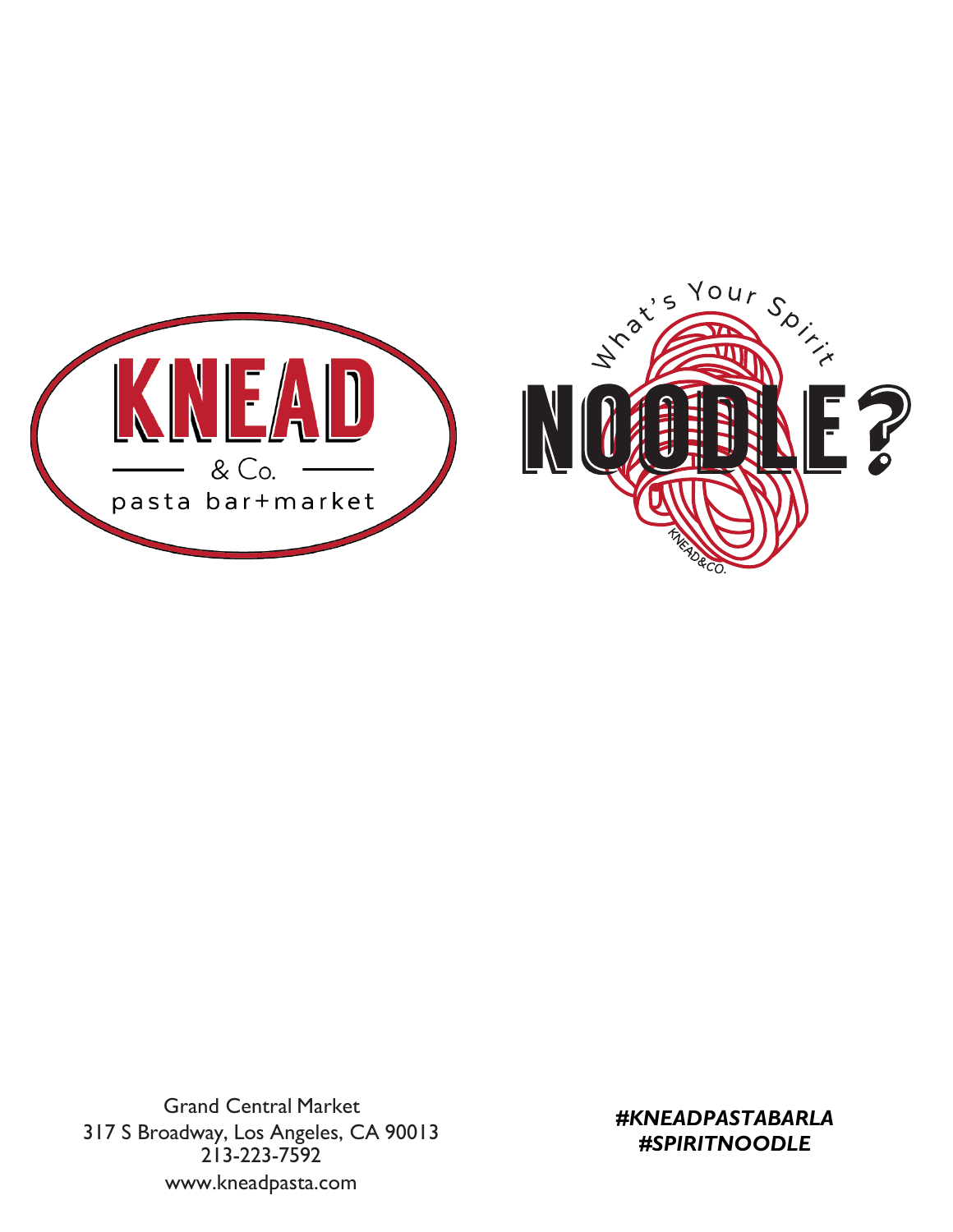

 Grand Central Market 317 S Broadway, Los Angeles, CA 90013 213 -223 -7592 www.kneadpasta.com

*#KNEADPASTABARLA #SPIRITNOODLE*